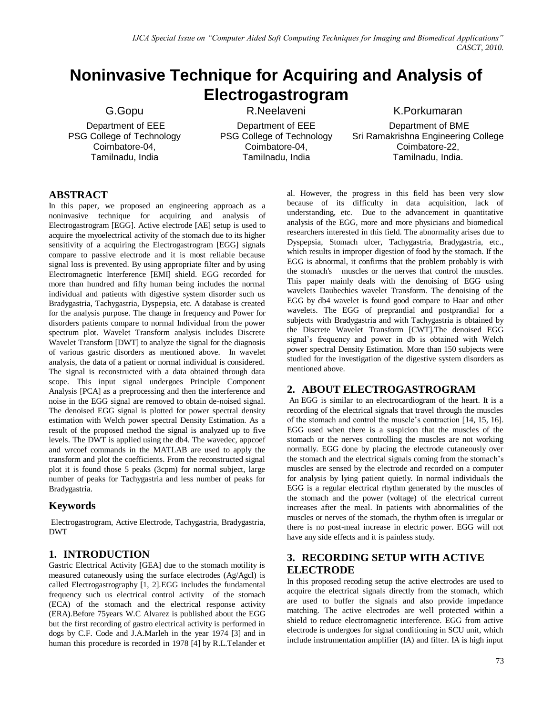# **Noninvasive Technique for Acquiring and Analysis of Electrogastrogram**

G.Gopu Department of EEE PSG College of Technology Coimbatore-04, Tamilnadu, India

R.Neelaveni

Department of EEE PSG College of Technology Coimbatore-04, Tamilnadu, India

K.Porkumaran Department of BME Sri Ramakrishna Engineering College Coimbatore-22, Tamilnadu, India.

# **ABSTRACT**

In this paper, we proposed an engineering approach as a noninvasive technique for acquiring and analysis of Electrogastrogram [EGG]. Active electrode [AE] setup is used to acquire the myoelectrical activity of the stomach due to its higher sensitivity of a acquiring the Electrogastrogram [EGG] signals compare to passive electrode and it is most reliable because signal loss is prevented. By using appropriate filter and by using Electromagnetic Interference [EMI] shield. EGG recorded for more than hundred and fifty human being includes the normal individual and patients with digestive system disorder such us Bradygastria, Tachygastria, Dyspepsia, etc. A database is created for the analysis purpose. The change in frequency and Power for disorders patients compare to normal Individual from the power spectrum plot. Wavelet Transform analysis includes Discrete Wavelet Transform [DWT] to analyze the signal for the diagnosis of various gastric disorders as mentioned above. In wavelet analysis, the data of a patient or normal individual is considered. The signal is reconstructed with a data obtained through data scope. This input signal undergoes Principle Component Analysis [PCA] as a preprocessing and then the interference and noise in the EGG signal are removed to obtain de-noised signal. The denoised EGG signal is plotted for power spectral density estimation with Welch power spectral Density Estimation. As a result of the proposed method the signal is analyzed up to five levels. The DWT is applied using the db4. The wavedec, appcoef and wrcoef commands in the MATLAB are used to apply the transform and plot the coefficients. From the reconstructed signal plot it is found those 5 peaks (3cpm) for normal subject, large number of peaks for Tachygastria and less number of peaks for Bradygastria.

# **Keywords**

Electrogastrogram, Active Electrode, Tachygastria, Bradygastria, DWT

# **1. INTRODUCTION**

Gastric Electrical Activity [GEA] due to the stomach motility is measured cutaneously using the surface electrodes (Ag/Agcl) is called Electrogastrography [1, 2].EGG includes the fundamental frequency such us electrical control activity of the stomach (ECA) of the stomach and the electrical response activity (ERA).Before 75years W.C Alvarez is published about the EGG but the first recording of gastro electrical activity is performed in dogs by C.F. Code and J.A.Marleh in the year 1974 [3] and in human this procedure is recorded in 1978 [4] by R.L.Telander et

al. However, the progress in this field has been very slow because of its difficulty in data acquisition, lack of understanding, etc. Due to the advancement in quantitative analysis of the EGG, more and more physicians and biomedical researchers interested in this field. The abnormality arises due to Dyspepsia, Stomach ulcer, Tachygastria, Bradygastria, etc., which results in improper digestion of food by the stomach. If the EGG is abnormal, it confirms that the problem probably is with the stomach's muscles or the nerves that control the muscles. This paper mainly deals with the denoising of EGG using wavelets Daubechies wavelet Transform. The denoising of the EGG by db4 wavelet is found good compare to Haar and other wavelets. The EGG of preprandial and postprandial for a subjects with Bradygastria and with Tachygastria is obtained by the Discrete Wavelet Transform [CWT].The denoised EGG signal's frequency and power in db is obtained with Welch power spectral Density Estimation. More than 150 subjects were studied for the investigation of the digestive system disorders as mentioned above.

### **2. ABOUT ELECTROGASTROGRAM**

An EGG is similar to an electrocardiogram of the heart. It is a recording of the electrical signals that travel through the muscles of the stomach and control the muscle's contraction [14, 15, 16]. EGG used when there is a suspicion that the muscles of the stomach or the nerves controlling the muscles are not working normally. EGG done by placing the electrode cutaneously over the stomach and the electrical signals coming from the stomach's muscles are sensed by the electrode and recorded on a computer for analysis by lying patient quietly. In normal individuals the EGG is a regular electrical rhythm generated by the muscles of the stomach and the power (voltage) of the electrical current increases after the meal. In patients with abnormalities of the muscles or nerves of the stomach, the rhythm often is irregular or there is no post-meal increase in electric power. EGG will not have any side effects and it is painless study.

# **3. RECORDING SETUP WITH ACTIVE ELECTRODE**

In this proposed recoding setup the active electrodes are used to acquire the electrical signals directly from the stomach, which are used to buffer the signals and also provide impedance matching. The active electrodes are well protected within a shield to reduce electromagnetic interference. EGG from active electrode is undergoes for signal conditioning in SCU unit, which include instrumentation amplifier (IA) and filter. IA is high input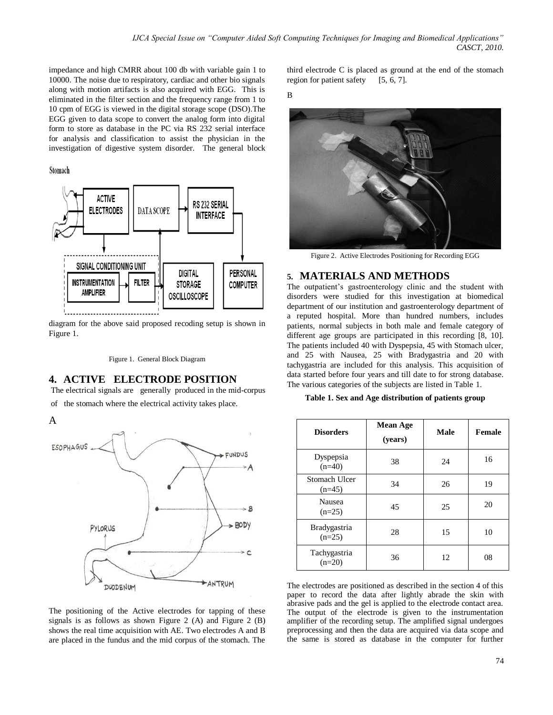impedance and high CMRR about 100 db with variable gain 1 to 10000. The noise due to respiratory, cardiac and other bio signals along with motion artifacts is also acquired with EGG. This is eliminated in the filter section and the frequency range from 1 to 10 cpm of EGG is viewed in the digital storage scope (DSO).The EGG given to data scope to convert the analog form into digital form to store as database in the PC via RS 232 serial interface for analysis and classification to assist the physician in the investigation of digestive system disorder. The general block

#### Stomach



diagram for the above said proposed recoding setup is shown in Figure 1.

Figure 1. General Block Diagram

### **4. ACTIVE ELECTRODE POSITION**

The electrical signals are generally produced in the mid-corpus of the stomach where the electrical activity takes place.

A



The positioning of the Active electrodes for tapping of these signals is as follows as shown Figure 2 (A) and Figure 2 (B) shows the real time acquisition with AE. Two electrodes A and B are placed in the fundus and the mid corpus of the stomach. The third electrode C is placed as ground at the end of the stomach region for patient safety [5, 6, 7].

B



Figure 2. Active Electrodes Positioning for Recording EGG

### **5. MATERIALS AND METHODS**

The outpatient's gastroenterology clinic and the student with disorders were studied for this investigation at biomedical department of our institution and gastroenterology department of a reputed hospital. More than hundred numbers, includes patients, normal subjects in both male and female category of different age groups are participated in this recording [8, 10]. The patients included 40 with Dyspepsia, 45 with Stomach ulcer, and 25 with Nausea, 25 with Bradygastria and 20 with tachygastria are included for this analysis. This acquisition of data started before four years and till date to for strong database. The various categories of the subjects are listed in Table 1.

**Table 1. Sex and Age distribution of patients group**

| <b>Disorders</b>                | <b>Mean Age</b><br>(years) | <b>Male</b> | Female |
|---------------------------------|----------------------------|-------------|--------|
| Dyspepsia<br>$(n=40)$           | 38                         | 24          | 16     |
| Stomach Ulcer<br>$(n=45)$       | 34                         | 26          | 19     |
| Nausea<br>$(n=25)$              | 45                         | 25          | 20     |
| <b>Bradygastria</b><br>$(n=25)$ | 28                         | 15          | 10     |
| Tachygastria<br>$(n=20)$        | 36                         | 12          | 08     |

The electrodes are positioned as described in the section 4 of this paper to record the data after lightly abrade the skin with abrasive pads and the gel is applied to the electrode contact area. The output of the electrode is given to the instrumentation amplifier of the recording setup. The amplified signal undergoes preprocessing and then the data are acquired via data scope and the same is stored as database in the computer for further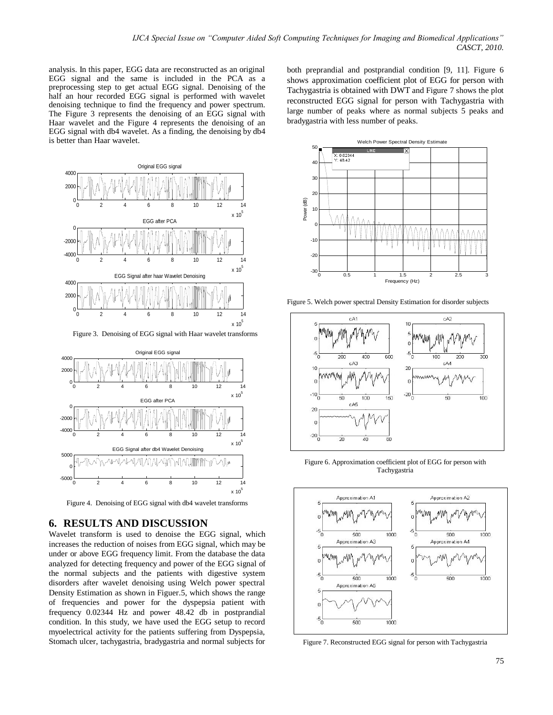analysis. In this paper, EGG data are reconstructed as an original EGG signal and the same is included in the PCA as a preprocessing step to get actual EGG signal. Denoising of the half an hour recorded EGG signal is performed with wavelet denoising technique to find the frequency and power spectrum. The Figure 3 represents the denoising of an EGG signal with Haar wavelet and the Figure 4 represents the denoising of an EGG signal with db4 wavelet. As a finding, the denoising by db4 is better than Haar wavelet.



Figure 3. Denoising of EGG signal with Haar wavelet transforms



Figure 4. Denoising of EGG signal with db4 wavelet transforms

### **6. RESULTS AND DISCUSSION**

Wavelet transform is used to denoise the EGG signal, which increases the reduction of noises from EGG signal, which may be under or above EGG frequency limit. From the database the data analyzed for detecting frequency and power of the EGG signal of the normal subjects and the patients with digestive system disorders after wavelet denoising using Welch power spectral Density Estimation as shown in Figuer.5, which shows the range of frequencies and power for the dyspepsia patient with frequency 0.02344 Hz and power 48.42 db in postprandial condition. In this study, we have used the EGG setup to record myoelectrical activity for the patients suffering from Dyspepsia, Stomach ulcer, tachygastria, bradygastria and normal subjects for

both preprandial and postprandial condition [9, 11]. Figure 6 shows approximation coefficient plot of EGG for person with Tachygastria is obtained with DWT and Figure 7 shows the plot reconstructed EGG signal for person with Tachygastria with large number of peaks where as normal subjects 5 peaks and bradygastria with less number of peaks.



Figure 5. Welch power spectral Density Estimation for disorder subjects



Figure 6. Approximation coefficient plot of EGG for person with Tachygastria



Figure 7. Reconstructed EGG signal for person with Tachygastria